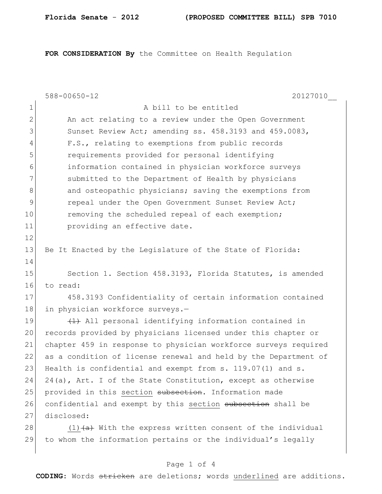**FOR CONSIDERATION By** the Committee on Health Regulation

|              | $588 - 00650 - 12$<br>20127010                                  |  |  |
|--------------|-----------------------------------------------------------------|--|--|
| $\mathbf 1$  | A bill to be entitled                                           |  |  |
| $\mathbf{2}$ | An act relating to a review under the Open Government           |  |  |
| 3            | Sunset Review Act; amending ss. 458.3193 and 459.0083,          |  |  |
| 4            | F.S., relating to exemptions from public records                |  |  |
| 5            | requirements provided for personal identifying                  |  |  |
| 6            | information contained in physician workforce surveys            |  |  |
| 7            | submitted to the Department of Health by physicians             |  |  |
| $8\,$        | and osteopathic physicians; saving the exemptions from          |  |  |
| 9            | repeal under the Open Government Sunset Review Act;             |  |  |
| 10           | removing the scheduled repeal of each exemption;                |  |  |
| 11           | providing an effective date.                                    |  |  |
| 12           |                                                                 |  |  |
| 13           | Be It Enacted by the Legislature of the State of Florida:       |  |  |
| 14           |                                                                 |  |  |
| 15           | Section 1. Section 458.3193, Florida Statutes, is amended       |  |  |
| 16           | to read:                                                        |  |  |
| 17           | 458.3193 Confidentiality of certain information contained       |  |  |
| 18           | in physician workforce surveys.-                                |  |  |
| 19           | (1) All personal identifying information contained in           |  |  |
| 20           | records provided by physicians licensed under this chapter or   |  |  |
| 21           | chapter 459 in response to physician workforce surveys required |  |  |
| 22           | as a condition of license renewal and held by the Department of |  |  |
| 23           | Health is confidential and exempt from $s. 119.07(1)$ and $s.$  |  |  |
| 24           | $24$ (a), Art. I of the State Constitution, except as otherwise |  |  |
| 25           | provided in this section subsection. Information made           |  |  |
| 26           | confidential and exempt by this section subsection shall be     |  |  |
| 27           | disclosed:                                                      |  |  |
| 28           | $(1)$ $(a)$ With the express written consent of the individual  |  |  |
| 29           | to whom the information pertains or the individual's legally    |  |  |

## Page 1 of 4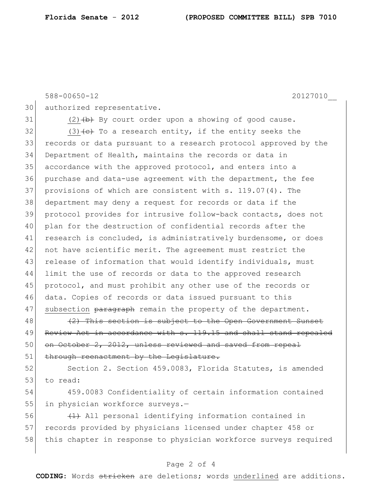588-00650-12 20127010\_\_ 30 authorized representative.

 (2)(b) By court order upon a showing of good cause. (3)  $\left($  To a research entity, if the entity seeks the records or data pursuant to a research protocol approved by the Department of Health, maintains the records or data in accordance with the approved protocol, and enters into a purchase and data-use agreement with the department, the fee 37 provisions of which are consistent with s. 119.07(4). The department may deny a request for records or data if the protocol provides for intrusive follow-back contacts, does not 40 plan for the destruction of confidential records after the research is concluded, is administratively burdensome, or does 42 not have scientific merit. The agreement must restrict the 43 release of information that would identify individuals, must limit the use of records or data to the approved research 45 protocol, and must prohibit any other use of the records or data. Copies of records or data issued pursuant to this 47 subsection paragraph remain the property of the department.

 $48$  (2) This section is subject to the Open Government Sunset 49 Review Act in accordance with s. 119.15 and shall stand repealed 50 on October 2, 2012, unless reviewed and saved from repeal 51 through reenactment by the Legislature.

52 Section 2. Section 459.0083, Florida Statutes, is amended 53 to read:

54 459.0083 Confidentiality of certain information contained 55 in physician workforce surveys.-

56  $(1)$  All personal identifying information contained in 57 records provided by physicians licensed under chapter 458 or 58 this chapter in response to physician workforce surveys required

## Page 2 of 4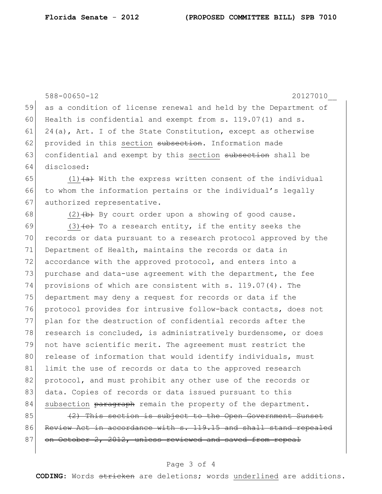|    | 588-00650-12<br>20127010                                        |  |  |
|----|-----------------------------------------------------------------|--|--|
| 59 | as a condition of license renewal and held by the Department of |  |  |
| 60 | Health is confidential and exempt from $s. 119.07(1)$ and $s.$  |  |  |
| 61 | $24(a)$ , Art. I of the State Constitution, except as otherwise |  |  |
| 62 | provided in this section subsection. Information made           |  |  |
| 63 | confidential and exempt by this section subsection shall be     |  |  |
| 64 | disclosed:                                                      |  |  |
| 65 | $(1)$ $(a)$ With the express written consent of the individual  |  |  |
| 66 | to whom the information pertains or the individual's legally    |  |  |
| 67 | authorized representative.                                      |  |  |
| 68 | $(2)$ $(b)$ By court order upon a showing of good cause.        |  |  |
| 69 | $(3)$ (e) To a research entity, if the entity seeks the         |  |  |
| 70 | records or data pursuant to a research protocol approved by the |  |  |
| 71 | Department of Health, maintains the records or data in          |  |  |
| 72 | accordance with the approved protocol, and enters into a        |  |  |
| 73 | purchase and data-use agreement with the department, the fee    |  |  |
| 74 | provisions of which are consistent with s. $119.07(4)$ . The    |  |  |
| 75 | department may deny a request for records or data if the        |  |  |
| 76 | protocol provides for intrusive follow-back contacts, does not  |  |  |
| 77 | plan for the destruction of confidential records after the      |  |  |
| 78 | research is concluded, is administratively burdensome, or does  |  |  |
| 79 | not have scientific merit. The agreement must restrict the      |  |  |
| 80 | release of information that would identify individuals, must    |  |  |
| 81 | limit the use of records or data to the approved research       |  |  |
| 82 | protocol, and must prohibit any other use of the records or     |  |  |
| 83 | data. Copies of records or data issued pursuant to this         |  |  |
| 84 | subsection paragraph remain the property of the department.     |  |  |
| 85 | (2) This section is subject to the Open Government Sunset       |  |  |

86 Review Act in accordance with s. 119.15 and shall stand repealed  $87$  on October 2, 2012, unless reviewed and saved from repeal

## Page 3 of 4